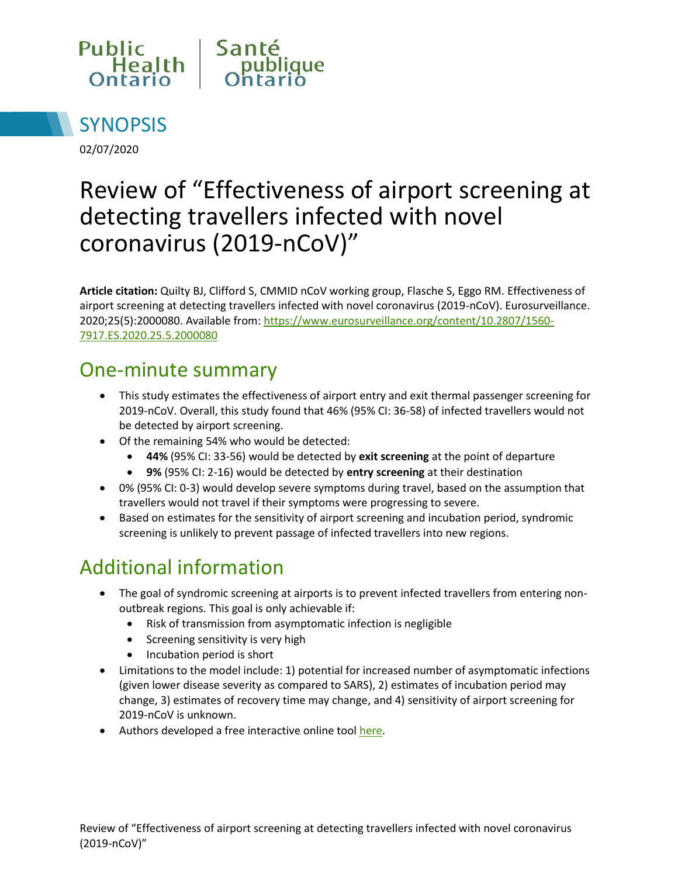



02/07/2020

# Review of "Effectiveness of airport screening at detecting travellers infected with novel coronavirus (2019-nCoV)"

**Article citation:** Quilty BJ, Clifford S, CMMID nCoV working group, Flasche S, Eggo RM. Effectiveness of airport screening at detecting travellers infected with novel coronavirus (2019-nCoV). Eurosurveillance. 2020;25(5):2000080. Available from: [https://www.eurosurveillance.org/content/10.2807/1560-](https://www.eurosurveillance.org/content/10.2807/1560-7917.ES.2020.25.5.2000080) [7917.ES.2020.25.5.2000080](https://www.eurosurveillance.org/content/10.2807/1560-7917.ES.2020.25.5.2000080)

#### One-minute summary

- This study estimates the effectiveness of airport entry and exit thermal passenger screening for 2019-nCoV. Overall, this study found that 46% (95% CI: 36-58) of infected travellers would not be detected by airport screening.
- Of the remaining 54% who would be detected:
	- **44%** (95% CI: 33-56) would be detected by **exit screening** at the point of departure
	- **9%** (95% CI: 2-16) would be detected by **entry screening** at their destination
- 0% (95% CI: 0-3) would develop severe symptoms during travel, based on the assumption that travellers would not travel if their symptoms were progressing to severe.
- Based on estimates for the sensitivity of airport screening and incubation period, syndromic screening is unlikely to prevent passage of infected travellers into new regions.

## Additional information

- The goal of syndromic screening at airports is to prevent infected travellers from entering nonoutbreak regions. This goal is only achievable if:
	- Risk of transmission from asymptomatic infection is negligible
	- Screening sensitivity is very high
	- Incubation period is short
- Limitations to the model include: 1) potential for increased number of asymptomatic infections (given lower disease severity as compared to SARS), 2) estimates of incubation period may change, 3) estimates of recovery time may change, and 4) sensitivity of airport screening for 2019-nCoV is unknown.
- Authors developed a free interactive online tool [here.](https://cmmid-lshtm.shinyapps.io/traveller_screening/)